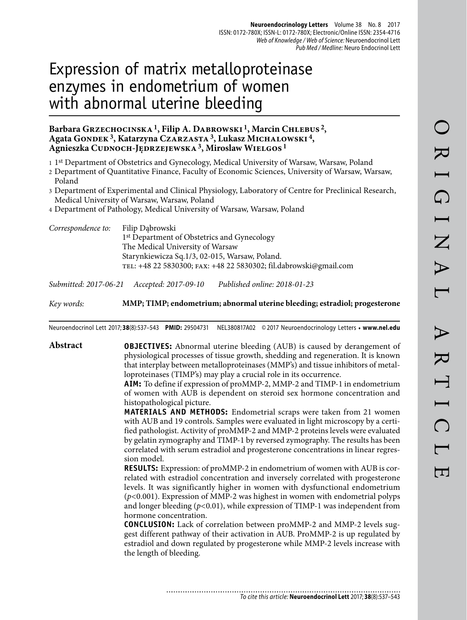# Expression of matrix metalloproteinase enzymes in endometrium of women with abnormal uterine bleeding

## Barbara Grzechocinska<sup>1</sup>, Filip A. Dabrowski<sup>1</sup>, Marcin Chlebus<sup>2</sup>, Agata GONDEK<sup>3</sup>, Katarzyna Czarzasta<sup>3</sup>, Lukasz Michalowski<sup>4</sup>, **Agnieszka Cudnoch-Jędrzejewska 3, Miroslaw Wielgos 1**

1 1st Department of Obstetrics and Gynecology, Medical University of Warsaw, Warsaw, Poland

2 Department of Quantitative Finance, Faculty of Economic Sciences, University of Warsaw, Warsaw, Poland

3 Department of Experimental and Clinical Physiology, Laboratory of Centre for Preclinical Research, Medical University of Warsaw, Warsaw, Poland

4 Department of Pathology, Medical University of Warsaw, Warsaw, Poland

| Correspondence to: | Filip Dabrowski                                                   |
|--------------------|-------------------------------------------------------------------|
|                    | 1 <sup>st</sup> Department of Obstetrics and Gynecology           |
|                    | The Medical University of Warsaw                                  |
|                    | Starynkiewicza Sq.1/3, 02-015, Warsaw, Poland.                    |
|                    | TEL: +48 22 5830300; FAX: +48 22 5830302; fil.dabrowski@gmail.com |

*Submitted: 2017-06-21 Accepted: 2017-09-10 Published online: 2018-01-23*

*Key words:* **MMP; TIMP; endometrium; abnormal uterine bleeding; estradiol; progesterone** 

Neuroendocrinol Lett 2017; **38**(8):537–543 **PMID:** 29504731 NEL380817A02 © 2017 Neuroendocrinology Letters • **www.nel.edu**

**Abstract OBJECTIVES:** Abnormal uterine bleeding (AUB) is caused by derangement of physiological processes of tissue growth, shedding and regeneration. It is known that interplay between metalloproteinases (MMP's) and tissue inhibitors of metalloproteinases (TIMP's) may play a crucial role in its occurrence.

> **AIM:** To define if expression of proMMP-2, MMP-2 and TIMP-1 in endometrium of women with AUB is dependent on steroid sex hormone concentration and histopathological picture.

> **MATERIALS AND METHODS:** Endometrial scraps were taken from 21 women with AUB and 19 controls. Samples were evaluated in light microscopy by a certified pathologist. Activity of proMMP-2 and MMP-2 proteins levels were evaluated by gelatin zymography and TIMP-1 by reversed zymography. The results has been correlated with serum estradiol and progesterone concentrations in linear regression model.

> **RESULTS:** Expression: of proMMP-2 in endometrium of women with AUB is correlated with estradiol concentration and inversely correlated with progesterone levels. It was significantly higher in women with dysfunctional endometrium (*p<*0.001). Expression of MMP-2 was highest in women with endometrial polyps and longer bleeding (*p<*0.01), while expression of TIMP-1 was independent from hormone concentration.

> **CONCLUSION:** Lack of correlation between proMMP-2 and MMP-2 levels suggest different pathway of their activation in AUB. ProMMP-2 is up regulated by estradiol and down regulated by progesterone while MMP-2 levels increase with the length of bleeding.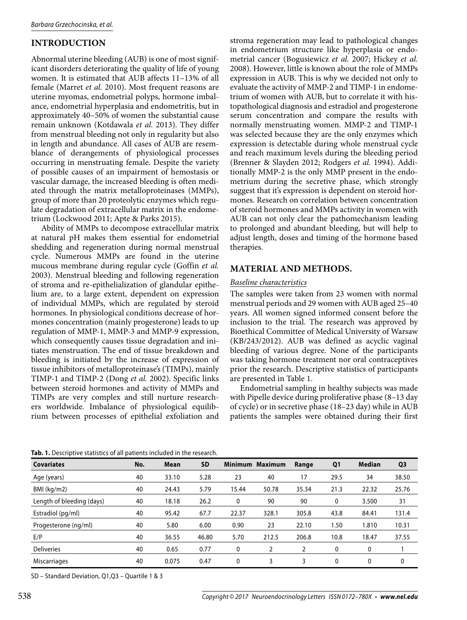# **INTRODUCTION**

Abnormal uterine bleeding (AUB) is one of most significant disorders deteriorating the quality of life of young women. It is estimated that AUB affects 11–13% of all female (Marret *et al.* 2010). Most frequent reasons are uterine myomas, endometrial polyps, hormone imbalance, endometrial hyperplasia and endometritis, but in approximately 40–50% of women the substantial cause remain unknown (Kotdawala *et al.* 2013). They differ from menstrual bleeding not only in regularity but also in length and abundance. All cases of AUB are resemblance of derangements of physiological processes occurring in menstruating female. Despite the variety of possible causes of an impairment of hemostasis or vascular damage, the increased bleeding is often mediated through the matrix metalloproteinases (MMPs), group of more than 20 proteolytic enzymes which regulate degradation of extracellular matrix in the endometrium (Lockwood 2011; Apte & Parks 2015).

Ability of MMPs to decompose extracellular matrix at natural pH makes them essential for endometrial shedding and regeneration during normal menstrual cycle. Numerous MMPs are found in the uterine mucous membrane during regular cycle (Goffin *et al.* 2003). Menstrual bleeding and following regeneration of stroma and re-epithelialization of glandular epithelium are, to a large extent, dependent on expression of individual MMPs, which are regulated by steroid hormones. In physiological conditions decrease of hormones concentration (mainly progesterone) leads to up regulation of MMP-1, MMP-3 and MMP-9 expression, which consequently causes tissue degradation and initiates menstruation. The end of tissue breakdown and bleeding is initiated by the increase of expression of tissue inhibitors of metalloproteinase's (TIMPs), mainly TIMP-1 and TIMP-2 (Dong *et al.* 2002). Specific links between steroid hormones and activity of MMPs and TIMPs are very complex and still nurture researchers worldwide. Imbalance of physiological equilibrium between processes of epithelial exfoliation and

stroma regeneration may lead to pathological changes in endometrium structure like hyperplasia or endometrial cancer (Bogusiewicz *et al.* 2007; Hickey *et al.* 2008). However, little is known about the role of MMPs expression in AUB. This is why we decided not only to evaluate the activity of MMP-2 and TIMP-1 in endometrium of women with AUB, but to correlate it with histopathological diagnosis and estradiol and progesterone serum concentration and compare the results with normally menstruating women. MMP-2 and TIMP-1 was selected because they are the only enzymes which expression is detectable during whole menstrual cycle and reach maximum levels during the bleeding period (Brenner & Slayden 2012; Rodgers *et al.* 1994). Additionally MMP-2 is the only MMP present in the endometrium during the secretive phase, which strongly suggest that it's expression is dependent on steroid hormones. Research on correlation between concentration of steroid hormones and MMPs activity in women with AUB can not only clear the pathomechanism leading to prolonged and abundant bleeding, but will help to adjust length, doses and timing of the hormone based therapies.

# **MATERIAL AND METHODS.**

## *Baseline characteristics*

The samples were taken from 23 women with normal menstrual periods and 29 women with AUB aged 25–40 years. All women signed informed consent before the inclusion to the trial. The research was approved by Bioethical Committee of Medical University of Warsaw (KB/243/2012). AUB was defined as acyclic vaginal bleeding of various degree. None of the participants was taking hormone treatment nor oral contraceptives prior the research. Descriptive statistics of participants are presented in Table 1.

Endometrial sampling in healthy subjects was made with Pipelle device during proliferative phase (8–13 day of cycle) or in secretive phase (18–23 day) while in AUB patients the samples were obtained during their first

**Covariates No. Mean SD Minimum Maximum Range Q1 Median Q3** Age (years) 40 33.10 5.28 23 40 17 29.5 34 38.50 BMI (kg/m2) 40 24.43 5.79 15.44 50.78 35.34 21.3 22.32 25.76 Length of bleeding (days) 40 18.18 26.2 0 90 90 0 3.500 31 Estradiol (pg/ml) 40 95.42 67.7 22.37 328.1 305.8 43.8 84.41 131.4 Progesterone (ng/ml) 40 5.80 6.00 0.90 23 22.10 1.50 1.810 10.31 E/P 40 36.55 46.80 5.70 212.5 206.8 10.8 18.47 37.55 Deliveries 40 0.65 0.77 0 2 2 0 0 1 Miscarriages 40 0.075 0.47 0 3 3 0 0 0

**Tab. 1.** Descriptive statistics of all patients included in the research.

SD – Standard Deviation, Q1,Q3 – Quartile 1 & 3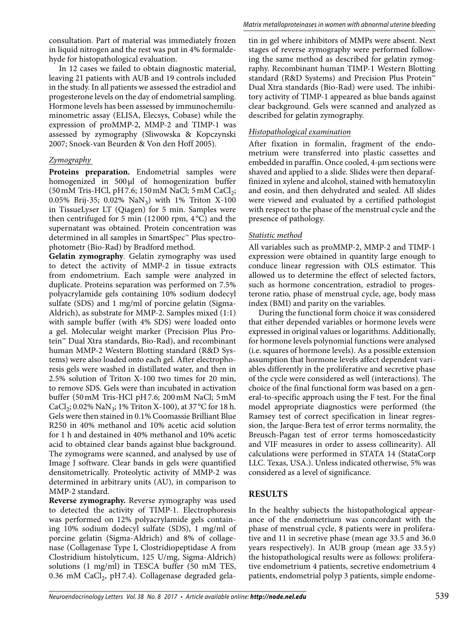consultation. Part of material was immediately frozen in liquid nitrogen and the rest was put in 4% formaldehyde for histopathological evaluation.

In 12 cases we failed to obtain diagnostic material, leaving 21 patients with AUB and 19 controls included in the study. In all patients we assessed the estradiol and progesterone levels on the day of endometrial sampling. Hormone levels has been assessed by immunochemiluminometric assay (ELISA, Elecsys, Cobase) while the expression of proMMP-2, MMP-2 and TIMP-1 was assessed by zymography (Sliwowska & Kopczynski 2007; Snoek-van Beurden & Von den Hoff 2005).

## *Zymography*

**Proteins preparation.** Endometrial samples were homogenized in 500 μl of homogenization buffer  $(50 \text{ mM Tris-HCl, pH 7.6; } 150 \text{ mM NaCl; } 5 \text{ mM CaCl}<sub>2</sub>;$ 0.05% Brij-35; 0.02%  $\text{NaN}_3$ ) with 1% Triton X-100 in TissueLyser LT (Qiagen) for 5 min. Samples were then centrifuged for 5 min (12000 rpm,  $4^{\circ}$ C) and the supernatant was obtained. Protein concentration was determined in all samples in SmartSpec™ Plus spectrophotometr (Bio-Rad) by Bradford method.

**Gelatin zymography***.* Gelatin zymography was used to detect the activity of MMP-2 in tissue extracts from endometrium. Each sample were analyzed in duplicate. Proteins separation was performed on 7.5% polyacrylamide gels containing 10% sodium dodecyl sulfate (SDS) and 1 mg/ml of porcine gelatin (Sigma-Aldrich), as substrate for MMP-2. Samples mixed (1:1) with sample buffer (with 4% SDS) were loaded onto a gel. Molecular weight marker (Precision Plus Protein™ Dual Xtra standards, Bio-Rad), and recombinant human MMP-2 Western Blotting standard (R&D Systems) were also loaded onto each gel. After electrophoresis gels were washed in distillated water, and then in 2.5% solution of Triton X-100 two times for 20 min, to remove SDS. Gels were than incubated in activation buffer (50 mM Tris-HCl pH 7.6; 200 mM NaCl; 5 mM CaCl<sub>2</sub>; 0.02% NaN<sub>3</sub>; 1% Triton X-100), at 37 °C for 18 h. Gels were then stained in 0.1% Coomassie Brilliant Blue R250 in 40% methanol and 10% acetic acid solution for 1 h and destained in 40% methanol and 10% acetic acid to obtained clear bands against blue background. The zymograms were scanned, and analysed by use of Image J software. Clear bands in gels were quantified densitometrically. Proteolytic activity of MMP-2 was determined in arbitrary units (AU), in comparison to MMP-2 standard.

**Reverse zymography.** Reverse zymography was used to detected the activity of TIMP-1. Electrophoresis was performed on 12% polyacrylamide gels containing 10% sodium dodecyl sulfate (SDS), 1 mg/ml of porcine gelatin (Sigma-Aldrich) and 8% of collagenase (Collagenase Type I, Clostridiopeptidase A from Clostridium histolyticum, 125 U/mg, Sigma-Aldrich) solutions (1 mg/ml) in TESCA buffer (50 mM TES, 0.36 mM CaCl<sub>2</sub>, pH 7.4). Collagenase degraded gelatin in gel where inhibitors of MMPs were absent. Next stages of reverse zymography were performed following the same method as described for gelatin zymography. Recombinant human TIMP-1 Western Blotting standard (R&D Systems) and Precision Plus Protein™ Dual Xtra standards (Bio-Rad) were used. The inhibitory activity of TIMP-1 appeared as blue bands against clear background. Gels were scanned and analyzed as described for gelatin zymography.

#### *Histopathological examination*

After fixation in formalin, fragment of the endometrium were transferred into plastic cassettes and embedded in paraffin. Once cooled, 4-μm sections were shaved and applied to a slide. Slides were then deparaffinized in xylene and alcohol, stained with hematoxylin and eosin, and then dehydrated and sealed. All slides were viewed and evaluated by a certified pathologist with respect to the phase of the menstrual cycle and the presence of pathology.

#### *Statistic method*

All variables such as proMMP-2, MMP-2 and TIMP-1 expression were obtained in quantity large enough to conduce linear regression with OLS estimator. This allowed us to determine the effect of selected factors, such as hormone concentration, estradiol to progesterone ratio, phase of menstrual cycle, age, body mass index (BMI) and parity on the variables.

During the functional form choice it was considered that either depended variables or hormone levels were expressed in original values or logarithms. Additionally, for hormone levels polynomial functions were analysed (i.e. squares of hormone levels). As a possible extension assumption that hormone levels affect dependent variables differently in the proliferative and secretive phase of the cycle were considered as well (interactions). The choice of the final functional form was based on a general-to-specific approach using the F test. For the final model appropriate diagnostics were performed (the Ramsey test of correct specification in linear regression, the Jarque-Bera test of error terms normality, the Breusch-Pagan test of error terms homoscedasticity and VIF measures in order to assess collinearity). All calculations were performed in STATA 14 (StataCorp LLC. Texas, USA.). Unless indicated otherwise, 5% was considered as a level of significance.

## **RESULTS**

In the healthy subjects the histopathological appearance of the endometrium was concordant with the phase of menstrual cycle, 8 patients were in proliferative and 11 in secretive phase (mean age 33.5 and 36.0 years respectively). In AUB group (mean age  $33.5y$ ) the histopathological results were as follows: proliferative endometrium 4 patients, secretive endometrium 4 patients, endometrial polyp 3 patients, simple endome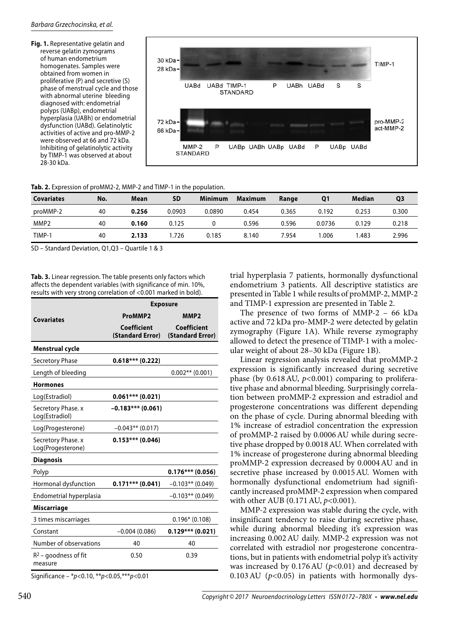**Fig. 1.** Representative gelatin and reverse gelatin zymograms of human endometrium homogenates. Samples were obtained from women in proliferative (P) and secretive (S) phase of menstrual cycle and those with abnormal uterine bleeding diagnosed with: endometrial polyps (UABp), endometrial hyperplasia (UABh) or endometrial dysfunction (UABd). Gelatinolytic activities of active and pro-MMP-2 were observed at 66 and 72 kDa. Inhibiting of gelatinolytic activity by TIMP-1 was observed at about 28-30 kDa.



#### **Tab. 2.** Expression of proMM2-2, MMP-2 and TIMP-1 in the population.

| <b>Covariates</b> | No. | Mean  | <b>SD</b> | <b>Minimum</b> | <b>Maximum</b> | Range | <b>Q1</b> | Median | Q3    |
|-------------------|-----|-------|-----------|----------------|----------------|-------|-----------|--------|-------|
| proMMP-2          | 40  | 0.256 | 0.0903    | 0.0890         | 0.454          | 0.365 | 0.192     | 0.253  | 0.300 |
| MMP <sub>2</sub>  | 40  | 0.160 | 0.125     |                | 0.596          | 0.596 | 0.0736    | 0.129  | 0.218 |
| TIMP-1            | 40  | 2.133 | .726      | 0.185          | 8.140          | 7.954 | .006      | .483   | 2.996 |

SD – Standard Deviation, Q1,Q3 – Quartile 1 & 3

**Tab. 3.** Linear regression. The table presents only factors which affects the dependent variables (with significance of min. 10%, results with very strong correlation of <0.001 marked in bold).

|                                         | <b>Exposure</b>                 |                                        |  |  |  |
|-----------------------------------------|---------------------------------|----------------------------------------|--|--|--|
| <b>Covariates</b>                       | ProMMP2                         | MMP <sub>2</sub>                       |  |  |  |
|                                         | Coefficient<br>(Standard Error) | <b>Coefficient</b><br>(Standard Error) |  |  |  |
| Menstrual cycle                         |                                 |                                        |  |  |  |
| <b>Secretory Phase</b>                  | $0.618***$ (0.222)              |                                        |  |  |  |
| Length of bleeding                      |                                 | $0.002**$ (0.001)                      |  |  |  |
| <b>Hormones</b>                         |                                 |                                        |  |  |  |
| Log(Estradiol)                          | $0.061***$ (0.021)              |                                        |  |  |  |
| Secretory Phase. x<br>Log(Estradiol)    | $-0.183***$ (0.061)             |                                        |  |  |  |
| Log(Progesterone)                       | $-0.043**$ (0.017)              |                                        |  |  |  |
| Secretory Phase. x<br>Log(Progesterone) | $0.153***$ (0.046)              |                                        |  |  |  |
| <b>Diagnosis</b>                        |                                 |                                        |  |  |  |
| Polyp                                   |                                 | $0.176***$ (0.056)                     |  |  |  |
| Hormonal dysfunction                    | $0.171***$ (0.041)              | $-0.103**$ (0.049)                     |  |  |  |
| Endometrial hyperplasia                 |                                 | $-0.103**$ (0.049)                     |  |  |  |
| Miscarriage                             |                                 |                                        |  |  |  |
| 3 times miscarriages                    |                                 | $0.196*$ (0.108)                       |  |  |  |
| Constant                                | $-0.004(0.086)$                 | $0.129***$ (0.021)                     |  |  |  |
| Number of observations                  | 40                              | 40                                     |  |  |  |
| $R^2$ – goodness of fit<br>measure      | 0.50                            | 0.39                                   |  |  |  |

Significance – \*p<0.10, \*\*p<0.05,\*\*\*p<0.01

trial hyperplasia 7 patients, hormonally dysfunctional endometrium 3 patients. All descriptive statistics are presented in Table 1 while results of proMMP-2, MMP-2 and TIMP-1 expression are presented in Table 2.

The presence of two forms of MMP-2 – 66 kDa active and 72 kDa pro-MMP-2 were detected by gelatin zymography (Figure 1A). While reverse zymography allowed to detect the presence of TIMP-1 with a molecular weight of about 28–30 kDa (Figure 1B).

Linear regression analysis revealed that proMMP-2 expression is significantly increased during secretive phase (by 0.618 AU, *p<*0.001) comparing to proliferative phase and abnormal bleeding. Surprisingly correlation between proMMP-2 expression and estradiol and progesterone concentrations was different depending on the phase of cycle. During abnormal bleeding with 1% increase of estradiol concentration the expression of proMMP-2 raised by 0.0006 AU while during secretive phase dropped by 0.0018 AU. When correlated with 1% increase of progesterone during abnormal bleeding proMMP-2 expression decreased by 0.0004 AU and in secretive phase increased by 0.0015 AU. Women with hormonally dysfunctional endometrium had significantly increased proMMP-2 expression when compared with other AUB (0.171 AU, *p<*0.001).

MMP-2 expression was stable during the cycle, with insignificant tendency to raise during secretive phase, while during abnormal bleeding it's expression was increasing 0.002 AU daily. MMP-2 expression was not correlated with estradiol nor progesterone concentrations, but in patients with endometrial polyp it's activity was increased by 0.176 AU (*p<*0.01) and decreased by 0.103 AU (*p<*0.05) in patients with hormonally dys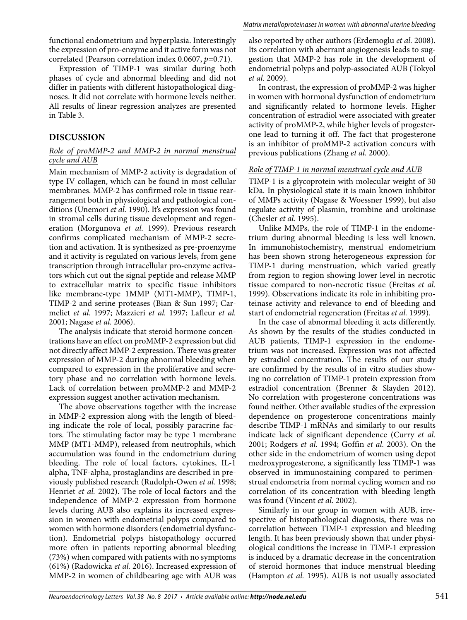functional endometrium and hyperplasia. Interestingly the expression of pro-enzyme and it active form was not correlated (Pearson correlation index 0.0607, *p*=0.71).

Expression of TIMP-1 was similar during both phases of cycle and abnormal bleeding and did not differ in patients with different histopathological diagnoses. It did not correlate with hormone levels neither. All results of linear regression analyzes are presented in Table 3.

# **DISCUSSION**

## *Role of proMMP-2 and MMP-2 in normal menstrual cycle and AUB*

Main mechanism of MMP-2 activity is degradation of type IV collagen, which can be found in most cellular membranes. MMP-2 has confirmed role in tissue rearrangement both in physiological and pathological conditions (Unemori et al. 1990). It's expression was found in stromal cells during tissue development and regeneration (Morgunova *et al.* 1999). Previous research confirms complicated mechanism of MMP-2 secretion and activation. It is synthesized as pre-proenzyme and it activity is regulated on various levels, from gene transcription through intracellular pro-enzyme activators which cut out the signal peptide and release MMP to extracellular matrix to specific tissue inhibitors like membrane-type 1MMP (MT1-MMP), TIMP-1, TIMP-2 and serine proteases (Bian & Sun 1997; Carmeliet *et al.* 1997; Mazzieri *et al.* 1997; Lafleur *et al.* 2001; Nagase *et al.* 2006).

The analysis indicate that steroid hormone concentrations have an effect on proMMP-2 expression but did not directly affect MMP-2 expression. There was greater expression of MMP-2 during abnormal bleeding when compared to expression in the proliferative and secretory phase and no correlation with hormone levels. Lack of correlation between proMMP-2 and MMP-2 expression suggest another activation mechanism.

The above observations together with the increase in MMP-2 expression along with the length of bleeding indicate the role of local, possibly paracrine factors. The stimulating factor may be type 1 membrane MMP (MT1-MMP), released from neutrophils, which accumulation was found in the endometrium during bleeding. The role of local factors, cytokines, IL-1 alpha, TNF-alpha, prostaglandins are described in previously published research (Rudolph-Owen *et al.* 1998; Henriet *et al.* 2002). The role of local factors and the independence of MMP-2 expression from hormone levels during AUB also explains its increased expression in women with endometrial polyps compared to women with hormone disorders (endometrial dysfunction). Endometrial polyps histopathology occurred more often in patients reporting abnormal bleeding (73%) when compared with patients with no symptoms (61%) (Radowicka *et al.* 2016). Increased expression of MMP-2 in women of childbearing age with AUB was

also reported by other authors (Erdemoglu *et al.* 2008). Its correlation with aberrant angiogenesis leads to suggestion that MMP-2 has role in the development of endometrial polyps and polyp-associated AUB (Tokyol *et al.* 2009).

In contrast, the expression of proMMP-2 was higher in women with hormonal dysfunction of endometrium and significantly related to hormone levels. Higher concentration of estradiol were associated with greater activity of proMMP-2, while higher levels of progesterone lead to turning it off. The fact that progesterone is an inhibitor of proMMP-2 activation concurs with previous publications (Zhang *et al.* 2000).

# *Role of TIMP-1 in normal menstrual cycle and AUB*

TIMP-1 is a glycoprotein with molecular weight of 30 kDa. In physiological state it is main known inhibitor of MMPs activity (Nagase & Woessner 1999), but also regulate activity of plasmin, trombine and urokinase (Chesler *et al.* 1995).

Unlike MMPs, the role of TIMP-1 in the endometrium during abnormal bleeding is less well known. In immunohistochemistry, menstrual endometrium has been shown strong heterogeneous expression for TIMP-1 during menstruation, which varied greatly from region to region showing lower level in necrotic tissue compared to non-necrotic tissue (Freitas *et al.* 1999). Observations indicate its role in inhibiting proteinase activity and relevance to end of bleeding and start of endometrial regeneration (Freitas *et al.* 1999).

In the case of abnormal bleeding it acts differently. As shown by the results of the studies conducted in AUB patients, TIMP-1 expression in the endometrium was not increased. Expression was not affected by estradiol concentration. The results of our study are confirmed by the results of in vitro studies showing no correlation of TIMP-1 protein expression from estradiol concentration (Brenner & Slayden 2012). No correlation with progesterone concentrations was found neither. Other available studies of the expression dependence on progesterone concentrations mainly describe TIMP-1 mRNAs and similarly to our results indicate lack of significant dependence (Curry *et al.* 2001; Rodgers *et al.* 1994; Goffin *et al.* 2003). On the other side in the endometrium of women using depot medroxyprogesterone, a significantly less TIMP-1 was observed in immunostaining compared to perimenstrual endometria from normal cycling women and no correlation of its concentration with bleeding length was found (Vincent *et al.* 2002).

Similarly in our group in women with AUB, irrespective of histopathological diagnosis, there was no correlation between TIMP-1 expression and bleeding length. It has been previously shown that under physiological conditions the increase in TIMP-1 expression is induced by a dramatic decrease in the concentration of steroid hormones that induce menstrual bleeding (Hampton *et al.* 1995). AUB is not usually associated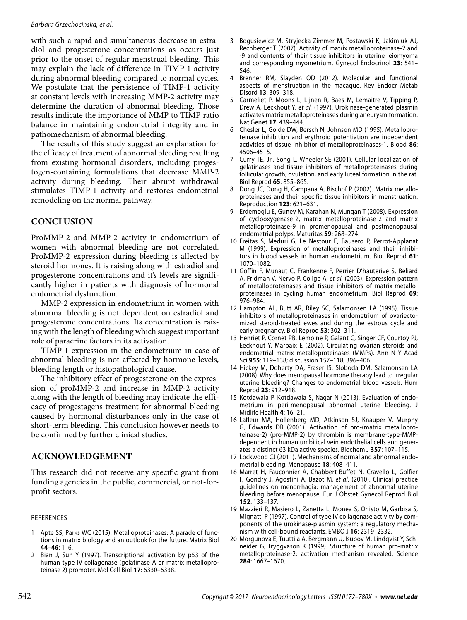#### Barbara Grzechocinska, et al.

with such a rapid and simultaneous decrease in estradiol and progesterone concentrations as occurs just prior to the onset of regular menstrual bleeding. This may explain the lack of difference in TIMP-1 activity during abnormal bleeding compared to normal cycles. We postulate that the persistence of TIMP-1 activity at constant levels with increasing MMP-2 activity may determine the duration of abnormal bleeding. Those results indicate the importance of MMP to TIMP ratio balance in maintaining endometrial integrity and in pathomechanism of abnormal bleeding.

The results of this study suggest an explanation for the efficacy of treatment of abnormal bleeding resulting from existing hormonal disorders, including progestogen-containing formulations that decrease MMP-2 activity during bleeding. Their abrupt withdrawal stimulates TIMP-1 activity and restores endometrial remodeling on the normal pathway.

# **CONCLUSION**

ProMMP-2 and MMP-2 activity in endometrium of women with abnormal bleeding are not correlated. ProMMP-2 expression during bleeding is affected by steroid hormones. It is raising along with estradiol and progesterone concentrations and it's levels are significantly higher in patients with diagnosis of hormonal endometrial dysfunction.

MMP-2 expression in endometrium in women with abnormal bleeding is not dependent on estradiol and progesterone concentrations. Its concentration is raising with the length of bleeding which suggest important role of paracrine factors in its activation.

TIMP-1 expression in the endometrium in case of abnormal bleeding is not affected by hormone levels, bleeding length or histopathological cause.

The inhibitory effect of progesterone on the expression of proMMP-2 and increase in MMP-2 activity along with the length of bleeding may indicate the efficacy of progestagens treatment for abnormal bleeding caused by hormonal disturbances only in the case of short-term bleeding. This conclusion however needs to be confirmed by further clinical studies.

## **ACKNOWLEDGEMENT**

This research did not receive any specific grant from funding agencies in the public, commercial, or not-forprofit sectors.

#### REFERENCES

- 1 Apte SS, Parks WC (2015). Metalloproteinases: A parade of functions in matrix biology and an outlook for the future. Matrix Biol **44–46**: 1–6.
- 2 Bian J, Sun Y (1997). Transcriptional activation by p53 of the human type IV collagenase (gelatinase A or matrix metalloproteinase 2) promoter. Mol Cell Biol **17**: 6330–6338.
- 3 Bogusiewicz M, Stryjecka-Zimmer M, Postawski K, Jakimiuk AJ, Rechberger T (2007). Activity of matrix metalloproteinase-2 and -9 and contents of their tissue inhibitors in uterine leiomyoma and corresponding myometrium. Gynecol Endocrinol **23**: 541– 546.
- 4 Brenner RM, Slayden OD (2012). Molecular and functional aspects of menstruation in the macaque. Rev Endocr Metab Disord **13**: 309–318.
- 5 Carmeliet P, Moons L, Lijnen R, Baes M, Lemaitre V, Tipping P, Drew A, Eeckhout Y, et al. (1997). Urokinase-generated plasmin activates matrix metalloproteinases during aneurysm formation. Nat Genet **17**: 439–444.
- 6 Chesler L, Golde DW, Bersch N, Johnson MD (1995). Metalloproteinase inhibition and erythroid potentiation are independent activities of tissue inhibitor of metalloproteinases-1. Blood **86**: 4506–4515.
- 7 Curry TE, Jr., Song L, Wheeler SE (2001). Cellular localization of gelatinases and tissue inhibitors of metalloproteinases during follicular growth, ovulation, and early luteal formation in the rat. Biol Reprod **65**: 855–865.
- 8 Dong JC, Dong H, Campana A, Bischof P (2002). Matrix metalloproteinases and their specific tissue inhibitors in menstruation. Reproduction **123**: 621–631.
- 9 Erdemoglu E, Guney M, Karahan N, Mungan T (2008). Expression of cyclooxygenase-2, matrix metalloproteinase-2 and matrix metalloproteinase-9 in premenopausal and postmenopausal endometrial polyps. Maturitas **59**: 268–274.
- 10 Freitas S, Meduri G, Le Nestour E, Bausero P, Perrot-Applanat M (1999). Expression of metalloproteinases and their inhibitors in blood vessels in human endometrium. Biol Reprod **61**: 1070–1082.
- 11 Goffin F, Munaut C, Frankenne F, Perrier D'hauterive S, Beliard A, Fridman V, Nervo P, Colige A, et al. (2003). Expression pattern of metalloproteinases and tissue inhibitors of matrix-metalloproteinases in cycling human endometrium. Biol Reprod **69**: 976–984.
- 12 Hampton AL, Butt AR, Riley SC, Salamonsen LA (1995). Tissue inhibitors of metalloproteinases in endometrium of ovariectomized steroid-treated ewes and during the estrous cycle and early pregnancy. Biol Reprod **53**: 302–311.
- 13 Henriet P, Cornet PB, Lemoine P, Galant C, Singer CF, Courtoy PJ, Eeckhout Y, Marbaix E (2002). Circulating ovarian steroids and endometrial matrix metalloproteinases (MMPs). Ann N Y Acad Sci **955**: 119–138; discussion 157–118, 396–406.
- 14 Hickey M, Doherty DA, Fraser IS, Sloboda DM, Salamonsen LA (2008). Why does menopausal hormone therapy lead to irregular uterine bleeding? Changes to endometrial blood vessels. Hum Reprod **23**: 912–918.
- 15 Kotdawala P, Kotdawala S, Nagar N (2013). Evaluation of endometrium in peri-menopausal abnormal uterine bleeding. J Midlife Health **4**: 16–21.
- 16 Lafleur MA, Hollenberg MD, Atkinson SJ, Knauper V, Murphy G, Edwards DR (2001). Activation of pro-(matrix metalloproteinase-2) (pro-MMP-2) by thrombin is membrane-type-MMPdependent in human umbilical vein endothelial cells and generates a distinct 63 kDa active species. Biochem J **357**: 107–115.
- 17 Lockwood CJ (2011). Mechanisms of normal and abnormal endometrial bleeding. Menopause **18**: 408–411.
- 18 Marret H, Fauconnier A, Chabbert-Buffet N, Cravello L, Golfier F, Gondry J, Agostini A, Bazot M, et al. (2010). Clinical practice guidelines on menorrhagia: management of abnormal uterine bleeding before menopause. Eur J Obstet Gynecol Reprod Biol **152**: 133–137.
- 19 Mazzieri R, Masiero L, Zanetta L, Monea S, Onisto M, Garbisa S, Mignatti P (1997). Control of type IV collagenase activity by components of the urokinase-plasmin system: a regulatory mechanism with cell-bound reactants. EMBO J **16**: 2319–2332.
- 20 Morgunova E, Tuuttila A, Bergmann U, Isupov M, Lindqvist Y, Schneider G, Tryggvason K (1999). Structure of human pro-matrix metalloproteinase-2: activation mechanism revealed. Science **284**: 1667–1670.